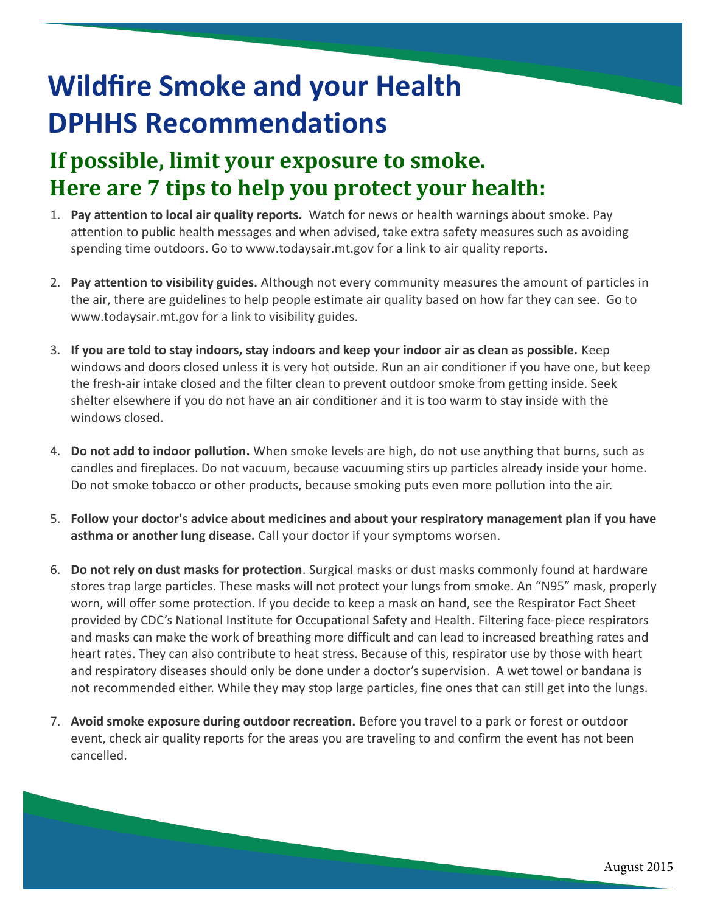# **Wildfire Smoke and your Health DPHHS Recommendations**

## **If possible, limit your exposure to smoke. Here are 7 tips to help you protect your health:**

- 1. **Pay attention to local air quality reports.** Watch for news or health warnings about smoke. Pay attention to public health messages and when advised, take extra safety measures such as avoiding spending time outdoors. Go to www.todaysair.mt.gov for a link to air quality reports.
- 2. **Pay attention to visibility guides.** Although not every community measures the amount of particles in the air, there are guidelines to help people estimate air quality based on how far they can see. Go to www.todaysair.mt.gov for a link to visibility guides.
- 3. **If you are told to stay indoors, stay indoors and keep your indoor air as clean as possible.** Keep windows and doors closed unless it is very hot outside. Run an air conditioner if you have one, but keep the fresh-air intake closed and the filter clean to prevent outdoor smoke from getting inside. Seek shelter elsewhere if you do not have an air conditioner and it is too warm to stay inside with the windows closed.
- 4. **Do not add to indoor pollution.** When smoke levels are high, do not use anything that burns, such as candles and fireplaces. Do not vacuum, because vacuuming stirs up particles already inside your home. Do not smoke tobacco or other products, because smoking puts even more pollution into the air.
- 5. **Follow your doctor's advice about medicines and about your respiratory management plan if you have asthma or another lung disease.** Call your doctor if your symptoms worsen.
- 6. **Do not rely on dust masks for protection**. Surgical masks or dust masks commonly found at hardware stores trap large particles. These masks will not protect your lungs from smoke. An "N95" mask, properly worn, will offer some protection. If you decide to keep a mask on hand, see the Respirator Fact Sheet provided by CDC's National Institute for Occupational Safety and Health. Filtering face-piece respirators and masks can make the work of breathing more difficult and can lead to increased breathing rates and heart rates. They can also contribute to heat stress. Because of this, respirator use by those with heart and respiratory diseases should only be done under a doctor's supervision. A wet towel or bandana is not recommended either. While they may stop large particles, fine ones that can still get into the lungs.
- 7. **Avoid smoke exposure during outdoor recreation.** Before you travel to a park or forest or outdoor event, check air quality reports for the areas you are traveling to and confirm the event has not been cancelled.